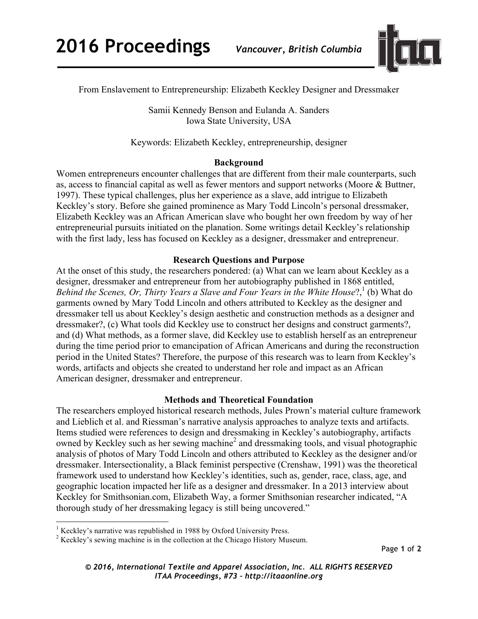

From Enslavement to Entrepreneurship: Elizabeth Keckley Designer and Dressmaker

Samii Kennedy Benson and Eulanda A. Sanders Iowa State University, USA

Keywords: Elizabeth Keckley, entrepreneurship, designer

# **Background**

Women entrepreneurs encounter challenges that are different from their male counterparts, such as, access to financial capital as well as fewer mentors and support networks (Moore & Buttner, 1997). These typical challenges, plus her experience as a slave, add intrigue to Elizabeth Keckley's story. Before she gained prominence as Mary Todd Lincoln's personal dressmaker, Elizabeth Keckley was an African American slave who bought her own freedom by way of her entrepreneurial pursuits initiated on the planation. Some writings detail Keckley's relationship with the first lady, less has focused on Keckley as a designer, dressmaker and entrepreneur.

# **Research Questions and Purpose**

At the onset of this study, the researchers pondered: (a) What can we learn about Keckley as a designer, dressmaker and entrepreneur from her autobiography published in 1868 entitled, *Behind the Scenes, Or, Thirty Years a Slave and Four Years in the White House*?,<sup>1</sup> (b) What do garments owned by Mary Todd Lincoln and others attributed to Keckley as the designer and dressmaker tell us about Keckley's design aesthetic and construction methods as a designer and dressmaker?, (c) What tools did Keckley use to construct her designs and construct garments?, and (d) What methods, as a former slave, did Keckley use to establish herself as an entrepreneur during the time period prior to emancipation of African Americans and during the reconstruction period in the United States? Therefore, the purpose of this research was to learn from Keckley's words, artifacts and objects she created to understand her role and impact as an African American designer, dressmaker and entrepreneur.

# **Methods and Theoretical Foundation**

The researchers employed historical research methods, Jules Prown's material culture framework and Lieblich et al. and Riessman's narrative analysis approaches to analyze texts and artifacts. Items studied were references to design and dressmaking in Keckley's autobiography, artifacts owned by Keckley such as her sewing machine<sup>2</sup> and dressmaking tools, and visual photographic analysis of photos of Mary Todd Lincoln and others attributed to Keckley as the designer and/or dressmaker. Intersectionality, a Black feminist perspective (Crenshaw, 1991) was the theoretical framework used to understand how Keckley's identities, such as, gender, race, class, age, and geographic location impacted her life as a designer and dressmaker. In a 2013 interview about Keckley for Smithsonian.com, Elizabeth Way, a former Smithsonian researcher indicated, "A thorough study of her dressmaking legacy is still being uncovered."

<u> 1989 - Jan Stein Stein, fransk politiker (d. 1989)</u>

 $<sup>1</sup>$  Keckley's narrative was republished in 1988 by Oxford University Press.</sup>

<sup>&</sup>lt;sup>2</sup> Keckley's sewing machine is in the collection at the Chicago History Museum.